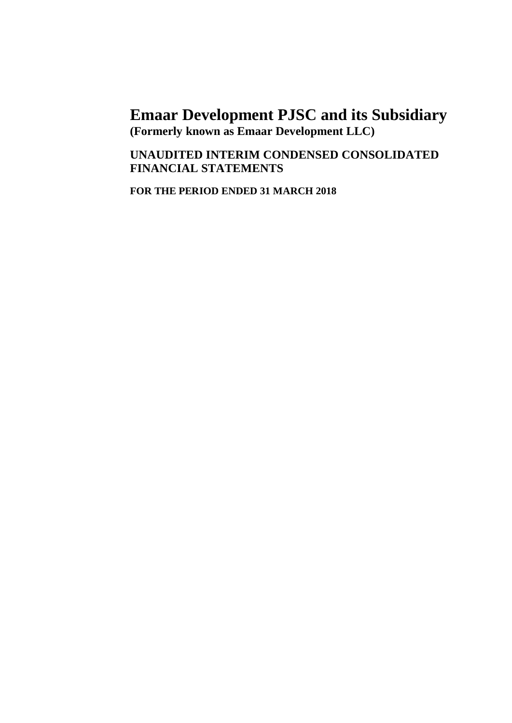**UNAUDITED INTERIM CONDENSED CONSOLIDATED FINANCIAL STATEMENTS**

**FOR THE PERIOD ENDED 31 MARCH 2018**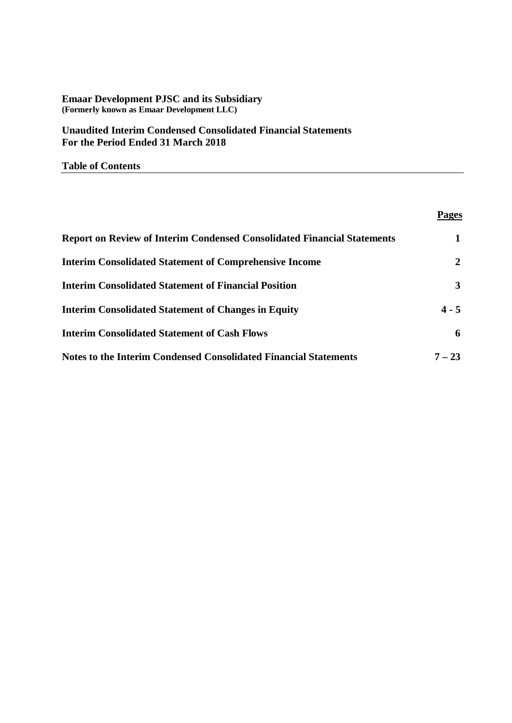**Unaudited Interim Condensed Consolidated Financial Statements For the Period Ended 31 March 2018**

**Table of Contents**

## **Pages**

| <b>Report on Review of Interim Condensed Consolidated Financial Statements</b> | 1        |
|--------------------------------------------------------------------------------|----------|
| <b>Interim Consolidated Statement of Comprehensive Income</b>                  | 2        |
| <b>Interim Consolidated Statement of Financial Position</b>                    | 3        |
| <b>Interim Consolidated Statement of Changes in Equity</b>                     | $4 - 5$  |
| <b>Interim Consolidated Statement of Cash Flows</b>                            | 6        |
| <b>Notes to the Interim Condensed Consolidated Financial Statements</b>        | $7 - 23$ |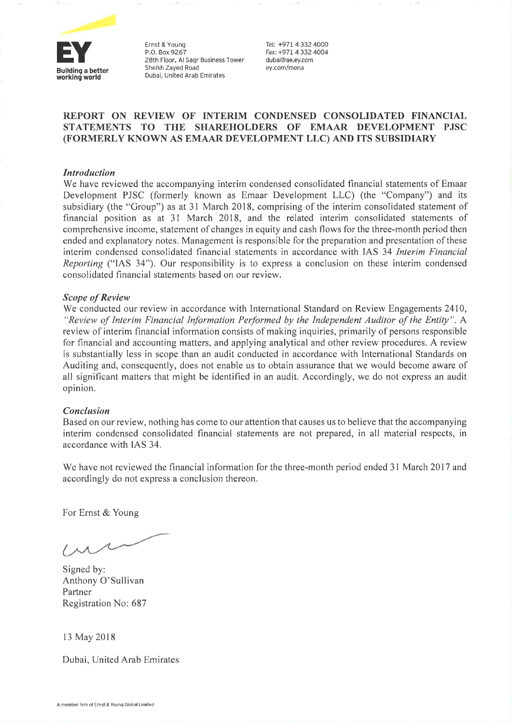

Frnst & Young P.O. Box 9267 28th Floor, Al Saqr Business Tower Sheikh Zayed Road Dubai, United Arab Emirates

Tel: +971 4 332 4000 Fax: +971 4 332 4004 dubai@ae.ey.com ey.com/mena

## REPORT ON REVIEW OF INTERIM CONDENSED CONSOLIDATED FINANCIAL STATEMENTS TO THE SHAREHOLDERS OF EMAAR DEVELOPMENT PJSC (FORMERLY KNOWN AS EMAAR DEVELOPMENT LLC) AND ITS SUBSIDIARY

#### **Introduction**

We have reviewed the accompanying interim condensed consolidated financial statements of Emaar Development PJSC (formerly known as Emaar Development LLC) (the "Company") and its subsidiary (the "Group") as at 31 March 2018, comprising of the interim consolidated statement of financial position as at 31 March 2018, and the related interim consolidated statements of comprehensive income, statement of changes in equity and cash flows for the three-month period then ended and explanatory notes. Management is responsible for the preparation and presentation of these interim condensed consolidated financial statements in accordance with IAS 34 Interim Financial Reporting ("IAS 34"). Our responsibility is to express a conclusion on these interim condensed consolidated financial statements based on our review.

#### **Scope of Review**

We conducted our review in accordance with International Standard on Review Engagements 2410, "Review of Interim Financial Information Performed by the Independent Auditor of the Entity". A review of interim financial information consists of making inquiries, primarily of persons responsible for financial and accounting matters, and applying analytical and other review procedures. A review is substantially less in scope than an audit conducted in accordance with International Standards on Auditing and, consequently, does not enable us to obtain assurance that we would become aware of all significant matters that might be identified in an audit. Accordingly, we do not express an audit opinion.

#### Conclusion

Based on our review, nothing has come to our attention that causes us to believe that the accompanying interim condensed consolidated financial statements are not prepared, in all material respects, in accordance with IAS 34.

We have not reviewed the financial information for the three-month period ended 31 March 2017 and accordingly do not express a conclusion thereon.

For Ernst & Young

Signed by: Anthony O'Sullivan Partner Registration No: 687

13 May 2018

Dubai, United Arab Emirates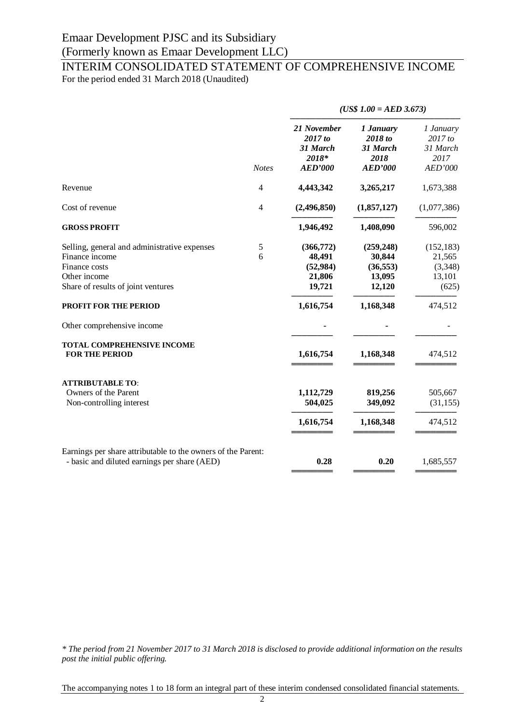## INTERIM CONSOLIDATED STATEMENT OF COMPREHENSIVE INCOME For the period ended 31 March 2018 (Unaudited)

|                                                                                                                                       |              | $(US$ 1.00 = AED 3.673)$                                      |                                                            |                                                     |  |
|---------------------------------------------------------------------------------------------------------------------------------------|--------------|---------------------------------------------------------------|------------------------------------------------------------|-----------------------------------------------------|--|
|                                                                                                                                       | <b>Notes</b> | 21 November<br>2017 to<br>31 March<br>2018*<br><b>AED'000</b> | 1 January<br>2018 to<br>31 March<br>2018<br><b>AED'000</b> | 1 January<br>2017 to<br>31 March<br>2017<br>AED'000 |  |
| Revenue                                                                                                                               | 4            | 4,443,342                                                     | 3,265,217                                                  | 1,673,388                                           |  |
| Cost of revenue                                                                                                                       | 4            | (2,496,850)                                                   | (1,857,127)                                                | (1,077,386)                                         |  |
| <b>GROSS PROFIT</b>                                                                                                                   |              | 1,946,492                                                     | 1,408,090                                                  | 596,002                                             |  |
| Selling, general and administrative expenses<br>Finance income<br>Finance costs<br>Other income<br>Share of results of joint ventures | 5<br>6       | (366,772)<br>48,491<br>(52, 984)<br>21,806<br>19,721          | (259, 248)<br>30,844<br>(36, 553)<br>13,095<br>12,120      | (152, 183)<br>21,565<br>(3,348)<br>13,101<br>(625)  |  |
| <b>PROFIT FOR THE PERIOD</b>                                                                                                          |              | 1,616,754                                                     | 1,168,348                                                  | 474,512                                             |  |
| Other comprehensive income                                                                                                            |              |                                                               |                                                            |                                                     |  |
| TOTAL COMPREHENSIVE INCOME<br><b>FOR THE PERIOD</b>                                                                                   |              | 1,616,754                                                     | 1,168,348                                                  | 474,512                                             |  |
| <b>ATTRIBUTABLE TO:</b><br>Owners of the Parent<br>Non-controlling interest                                                           |              | 1,112,729<br>504,025                                          | 819,256<br>349,092                                         | 505,667<br>(31, 155)                                |  |
|                                                                                                                                       |              | 1,616,754                                                     | 1,168,348                                                  | 474,512                                             |  |
| Earnings per share attributable to the owners of the Parent:<br>- basic and diluted earnings per share (AED)                          |              | 0.28                                                          | 0.20                                                       | 1,685,557                                           |  |
|                                                                                                                                       |              |                                                               |                                                            |                                                     |  |

*\* The period from 21 November 2017 to 31 March 2018 is disclosed to provide additional information on the results post the initial public offering.*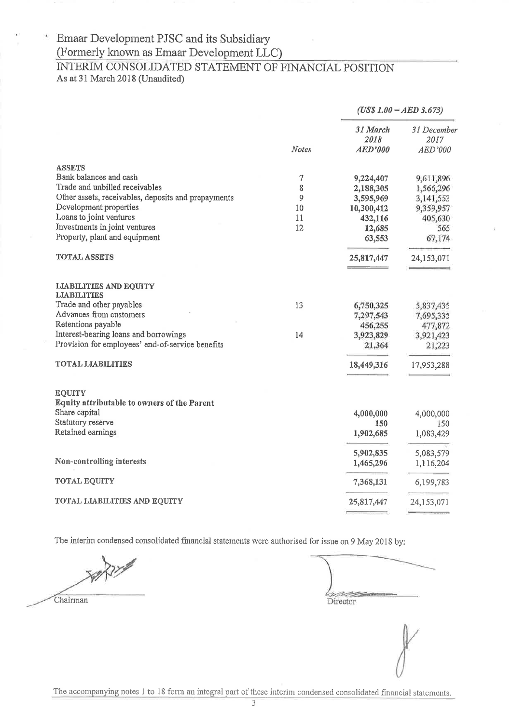$\overline{\phantom{a}}$ 

## INTERIM CONSOLIDATED STATEMENT OF FINANCIAL POSITION As at 31 March 2018 (Unaudited)

|                                                     |              | $(US$ I.00 = AED 3.673)$           |                                |  |
|-----------------------------------------------------|--------------|------------------------------------|--------------------------------|--|
|                                                     | <b>Notes</b> | 31 March<br>2018<br><b>AED'000</b> | 31 December<br>2017<br>AED'000 |  |
| <b>ASSETS</b>                                       |              |                                    |                                |  |
| Bank balances and cash                              | 7            | 9,224,407                          | 9,611,896                      |  |
| Trade and unbilled receivables                      | 8            | 2,188,305                          | 1,566,296                      |  |
| Other assets, receivables, deposits and prepayments | 9            | 3,595,969                          | 3,141,553                      |  |
| Development properties                              | 10           | 10,300,412                         | 9,359,957                      |  |
| Loans to joint ventures                             | 11           | 432,116                            | 405,630                        |  |
| Investments in joint ventures                       | 12           | 12,685                             | 565                            |  |
| Property, plant and equipment                       |              | 63,553                             | 67,174                         |  |
| <b>TOTAL ASSETS</b>                                 |              | 25,817,447                         | 24,153,071                     |  |
| LIABILITIES AND EQUITY<br><b>LIABILITIES</b>        |              |                                    |                                |  |
| Trade and other payables                            | 13           | 6,750,325                          | 5,837,435                      |  |
| Advances from customers                             |              | 7,297,543                          | 7,695,335                      |  |
| Retentions payable                                  |              | 456,255                            | 477,872                        |  |
| Interest-bearing loans and borrowings               | 14           | 3,923,829                          | 3,921,423                      |  |
| Provision for employees' end-of-service benefits    |              | 21,364                             | 21,223                         |  |
| <b>TOTAL LIABILITIES</b>                            |              | 18,449,316                         | 17,953,288                     |  |
| <b>EQUITY</b>                                       |              |                                    |                                |  |
| Equity attributable to owners of the Parent         |              |                                    |                                |  |
| Share capital                                       |              | 4,000,000                          | 4,000,000                      |  |
| Statutory reserve                                   |              | 150                                | 150                            |  |
| Retained earnings                                   |              | 1,902,685                          | 1,083,429                      |  |
|                                                     |              | 5,902,835                          | 5,083,579                      |  |
| Non-controlling interests                           |              | 1,465,296                          | 1,116,204                      |  |
| TOTAL EQUITY                                        |              | 7,368,131                          | 6,199,783                      |  |
| TOTAL LIABILITIES AND EQUITY                        |              | 25,817,447                         | 24,153,071                     |  |

The interim condensed consolidated financial statements were authorised for issue on 9 May 2018 by:

Chairman

Director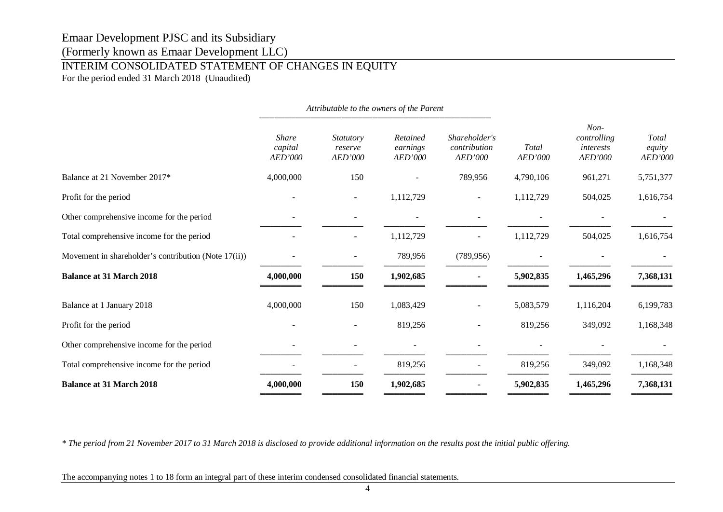# Emaar Development PJSC and its Subsidiary

(Formerly known as Emaar Development LLC)

## INTERIM CONSOLIDATED STATEMENT OF CHANGES IN EQUITY

For the period ended 31 March 2018 (Unaudited)

|                                                      | Attributable to the owners of the Parent |                                        |                                 |                                          |                  |                                               |                            |
|------------------------------------------------------|------------------------------------------|----------------------------------------|---------------------------------|------------------------------------------|------------------|-----------------------------------------------|----------------------------|
|                                                      | <b>Share</b><br>capital<br>AED'000       | <i>Statutory</i><br>reserve<br>AED'000 | Retained<br>earnings<br>AED'000 | Shareholder's<br>contribution<br>AED'000 | Total<br>AED'000 | $Non-$<br>controlling<br>interests<br>AED'000 | Total<br>equity<br>AED'000 |
| Balance at 21 November 2017*                         | 4,000,000                                | 150                                    |                                 | 789,956                                  | 4,790,106        | 961,271                                       | 5,751,377                  |
| Profit for the period                                | $\overline{a}$                           | $\blacksquare$                         | 1,112,729                       | $\overline{\phantom{0}}$                 | 1,112,729        | 504,025                                       | 1,616,754                  |
| Other comprehensive income for the period            |                                          |                                        |                                 |                                          |                  |                                               |                            |
| Total comprehensive income for the period            |                                          |                                        | 1,112,729                       |                                          | 1,112,729        | 504,025                                       | 1,616,754                  |
| Movement in shareholder's contribution (Note 17(ii)) |                                          |                                        | 789,956                         | (789, 956)                               |                  |                                               |                            |
| <b>Balance at 31 March 2018</b>                      | 4,000,000                                | 150                                    | 1,902,685                       |                                          | 5,902,835        | 1,465,296                                     | 7,368,131                  |
| Balance at 1 January 2018                            | 4,000,000                                | 150                                    | 1,083,429                       |                                          | 5,083,579        | 1,116,204                                     | 6,199,783                  |
| Profit for the period                                |                                          |                                        | 819,256                         |                                          | 819,256          | 349,092                                       | 1,168,348                  |
| Other comprehensive income for the period            |                                          |                                        |                                 |                                          |                  |                                               |                            |
| Total comprehensive income for the period            |                                          | $\overline{\phantom{0}}$               | 819,256                         | $\overline{\phantom{0}}$                 | 819,256          | 349,092                                       | 1,168,348                  |
| <b>Balance at 31 March 2018</b>                      | 4,000,000                                | 150                                    | 1,902,685                       |                                          | 5,902,835        | 1,465,296                                     | 7,368,131                  |

*\* The period from 21 November 2017 to 31 March 2018 is disclosed to provide additional information on the results post the initial public offering.*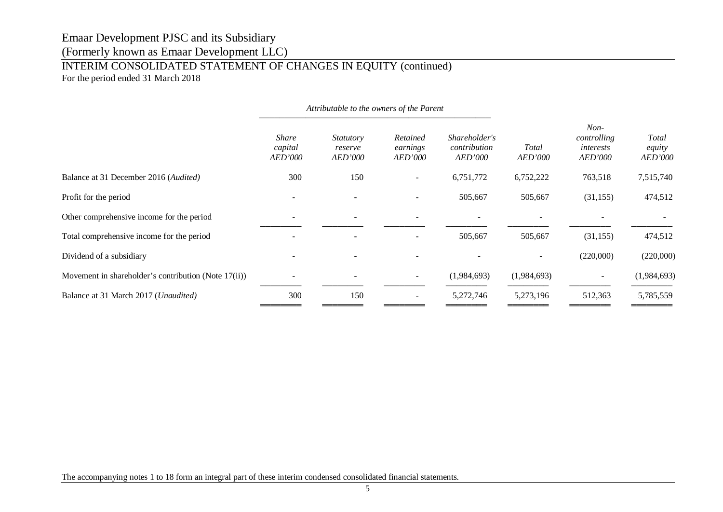# INTERIM CONSOLIDATED STATEMENT OF CHANGES IN EQUITY (continued)

For the period ended 31 March 2018

|                                                      |                                           | Attributable to the owners of the Parent      |                                        |                                                 |                         |                                                      |                                   |
|------------------------------------------------------|-------------------------------------------|-----------------------------------------------|----------------------------------------|-------------------------------------------------|-------------------------|------------------------------------------------------|-----------------------------------|
|                                                      | <b>Share</b><br>capital<br><b>AED'000</b> | <i>Statutory</i><br>reserve<br><i>AED'000</i> | Retained<br>earnings<br><i>AED'000</i> | Shareholder's<br>contribution<br><i>AED'000</i> | Total<br><i>AED'000</i> | $Non-$<br>controlling<br>interests<br><b>AED'000</b> | Total<br>equity<br><i>AED'000</i> |
| Balance at 31 December 2016 (Audited)                | 300                                       | 150                                           | $\overline{\phantom{a}}$               | 6,751,772                                       | 6,752,222               | 763,518                                              | 7,515,740                         |
| Profit for the period                                |                                           |                                               |                                        | 505,667                                         | 505,667                 | (31, 155)                                            | 474,512                           |
| Other comprehensive income for the period            |                                           |                                               |                                        |                                                 |                         |                                                      |                                   |
| Total comprehensive income for the period            | $\overline{\phantom{a}}$                  | $\overline{\phantom{a}}$                      | $\overline{\phantom{a}}$               | 505,667                                         | 505,667                 | (31, 155)                                            | 474,512                           |
| Dividend of a subsidiary                             |                                           |                                               |                                        |                                                 | $\qquad \qquad -$       | (220,000)                                            | (220,000)                         |
| Movement in shareholder's contribution (Note 17(ii)) | $\overline{\phantom{a}}$                  |                                               | $\sim$                                 | (1,984,693)                                     | (1,984,693)             | $\sim$                                               | (1,984,693)                       |
| Balance at 31 March 2017 (Unaudited)                 | 300                                       | 150                                           | $\overline{\phantom{a}}$               | 5,272,746                                       | 5,273,196               | 512,363                                              | 5,785,559                         |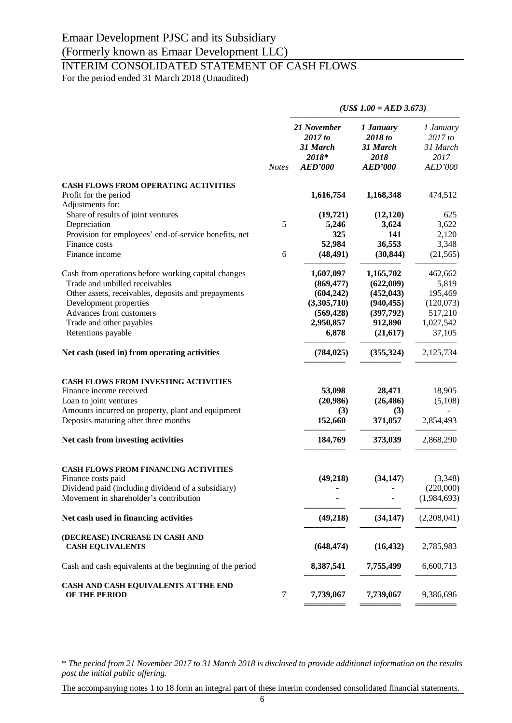## INTERIM CONSOLIDATED STATEMENT OF CASH FLOWS

For the period ended 31 March 2018 (Unaudited)

|                                                            |              | $(US$ 1.00 = AED 3.673)$                                      |                                                            |                                                     |
|------------------------------------------------------------|--------------|---------------------------------------------------------------|------------------------------------------------------------|-----------------------------------------------------|
|                                                            | <b>Notes</b> | 21 November<br>2017 to<br>31 March<br>2018*<br><b>AED'000</b> | 1 January<br>2018 to<br>31 March<br>2018<br><b>AED'000</b> | 1 January<br>2017 to<br>31 March<br>2017<br>AED'000 |
| <b>CASH FLOWS FROM OPERATING ACTIVITIES</b>                |              |                                                               |                                                            |                                                     |
| Profit for the period                                      |              | 1,616,754                                                     | 1,168,348                                                  | 474,512                                             |
| Adjustments for:                                           |              |                                                               |                                                            |                                                     |
| Share of results of joint ventures<br>Depreciation         | 5            | (19,721)<br>5,246                                             | (12,120)<br>3,624                                          | 625<br>3,622                                        |
| Provision for employees' end-of-service benefits, net      |              | 325                                                           | 141                                                        | 2,120                                               |
| Finance costs                                              |              | 52,984                                                        | 36,553                                                     | 3,348                                               |
| Finance income                                             | 6            | (48, 491)                                                     | (30, 844)                                                  | (21, 565)                                           |
| Cash from operations before working capital changes        |              | 1,607,097                                                     | 1,165,702                                                  | 462,662                                             |
| Trade and unbilled receivables                             |              | (869, 477)                                                    | (622,009)                                                  | 5,819                                               |
| Other assets, receivables, deposits and prepayments        |              | (604, 242)                                                    | (452, 043)                                                 | 195,469                                             |
| Development properties                                     |              | (3,305,710)                                                   | (940, 455)                                                 | (120,073)                                           |
| Advances from customers                                    |              | (569, 428)                                                    | (397,792)                                                  | 517,210                                             |
| Trade and other payables                                   |              | 2,950,857                                                     | 912,890                                                    | 1,027,542                                           |
| Retentions payable                                         |              | 6,878                                                         | (21, 617)                                                  | 37,105                                              |
| Net cash (used in) from operating activities               |              | (784, 025)                                                    | (355, 324)                                                 | 2,125,734                                           |
| CASH FLOWS FROM INVESTING ACTIVITIES                       |              |                                                               |                                                            |                                                     |
| Finance income received                                    |              | 53,098                                                        | 28,471                                                     | 18,905                                              |
| Loan to joint ventures                                     |              | (20,986)                                                      | (26, 486)                                                  | (5,108)                                             |
| Amounts incurred on property, plant and equipment          |              | (3)                                                           | (3)                                                        |                                                     |
| Deposits maturing after three months                       |              | 152,660                                                       | 371,057                                                    | 2,854,493                                           |
| Net cash from investing activities                         |              | 184,769                                                       | 373,039                                                    | 2,868,290                                           |
| <b>CASH FLOWS FROM FINANCING ACTIVITIES</b>                |              |                                                               |                                                            |                                                     |
| Finance costs paid                                         |              | (49,218)                                                      | (34, 147)                                                  | (3,348)                                             |
| Dividend paid (including dividend of a subsidiary)         |              |                                                               |                                                            | (220,000)                                           |
| Movement in shareholder's contribution                     |              |                                                               |                                                            | (1,984,693)                                         |
| Net cash used in financing activities                      |              | (49, 218)                                                     | (34, 147)                                                  | (2,208,041)                                         |
| (DECREASE) INCREASE IN CASH AND<br><b>CASH EQUIVALENTS</b> |              | (648, 474)                                                    | (16, 432)                                                  | 2,785,983                                           |
| Cash and cash equivalents at the beginning of the period   |              | 8,387,541                                                     | 7,755,499                                                  | 6,600,713                                           |
| CASH AND CASH EQUIVALENTS AT THE END<br>OF THE PERIOD      | 7            | 7,739,067                                                     | 7,739,067                                                  | 9,386,696                                           |
|                                                            |              |                                                               |                                                            |                                                     |

\* *The period from 21 November 2017 to 31 March 2018 is disclosed to provide additional information on the results post the initial public offering.*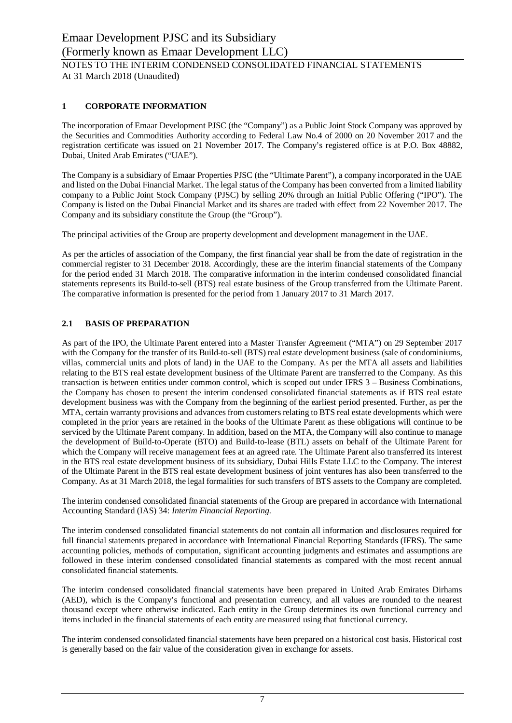## **1 CORPORATE INFORMATION**

The incorporation of Emaar Development PJSC (the "Company") as a Public Joint Stock Company was approved by the Securities and Commodities Authority according to Federal Law No.4 of 2000 on 20 November 2017 and the registration certificate was issued on 21 November 2017. The Company's registered office is at P.O. Box 48882, Dubai, United Arab Emirates ("UAE").

The Company is a subsidiary of Emaar Properties PJSC (the "Ultimate Parent"), a company incorporated in the UAE and listed on the Dubai Financial Market. The legal status of the Company has been converted from a limited liability company to a Public Joint Stock Company (PJSC) by selling 20% through an Initial Public Offering ("IPO"). The Company is listed on the Dubai Financial Market and its shares are traded with effect from 22 November 2017. The Company and its subsidiary constitute the Group (the "Group").

The principal activities of the Group are property development and development management in the UAE.

As per the articles of association of the Company, the first financial year shall be from the date of registration in the commercial register to 31 December 2018. Accordingly, these are the interim financial statements of the Company for the period ended 31 March 2018. The comparative information in the interim condensed consolidated financial statements represents its Build-to-sell (BTS) real estate business of the Group transferred from the Ultimate Parent. The comparative information is presented for the period from 1 January 2017 to 31 March 2017.

## **2.1 BASIS OF PREPARATION**

As part of the IPO, the Ultimate Parent entered into a Master Transfer Agreement ("MTA") on 29 September 2017 with the Company for the transfer of its Build-to-sell (BTS) real estate development business (sale of condominiums, villas, commercial units and plots of land) in the UAE to the Company. As per the MTA all assets and liabilities relating to the BTS real estate development business of the Ultimate Parent are transferred to the Company. As this transaction is between entities under common control, which is scoped out under IFRS 3 – Business Combinations, the Company has chosen to present the interim condensed consolidated financial statements as if BTS real estate development business was with the Company from the beginning of the earliest period presented. Further, as per the MTA, certain warranty provisions and advances from customers relating to BTS real estate developments which were completed in the prior years are retained in the books of the Ultimate Parent as these obligations will continue to be serviced by the Ultimate Parent company. In addition, based on the MTA, the Company will also continue to manage the development of Build-to-Operate (BTO) and Build-to-lease (BTL) assets on behalf of the Ultimate Parent for which the Company will receive management fees at an agreed rate. The Ultimate Parent also transferred its interest in the BTS real estate development business of its subsidiary, Dubai Hills Estate LLC to the Company. The interest of the Ultimate Parent in the BTS real estate development business of joint ventures has also been transferred to the Company. As at 31 March 2018, the legal formalities for such transfers of BTS assets to the Company are completed.

The interim condensed consolidated financial statements of the Group are prepared in accordance with International Accounting Standard (IAS) 34: *Interim Financial Reporting.*

The interim condensed consolidated financial statements do not contain all information and disclosures required for full financial statements prepared in accordance with International Financial Reporting Standards (IFRS). The same accounting policies, methods of computation, significant accounting judgments and estimates and assumptions are followed in these interim condensed consolidated financial statements as compared with the most recent annual consolidated financial statements.

The interim condensed consolidated financial statements have been prepared in United Arab Emirates Dirhams (AED), which is the Company's functional and presentation currency, and all values are rounded to the nearest thousand except where otherwise indicated. Each entity in the Group determines its own functional currency and items included in the financial statements of each entity are measured using that functional currency.

The interim condensed consolidated financial statements have been prepared on a historical cost basis. Historical cost is generally based on the fair value of the consideration given in exchange for assets.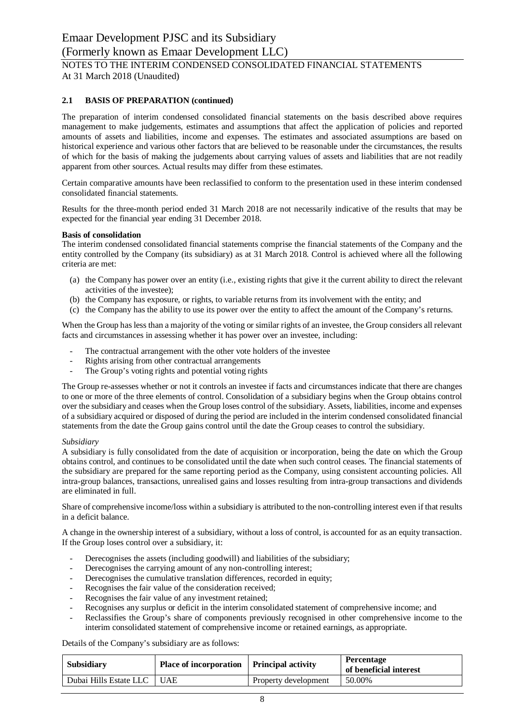### **2.1 BASIS OF PREPARATION (continued)**

The preparation of interim condensed consolidated financial statements on the basis described above requires management to make judgements, estimates and assumptions that affect the application of policies and reported amounts of assets and liabilities, income and expenses. The estimates and associated assumptions are based on historical experience and various other factors that are believed to be reasonable under the circumstances, the results of which for the basis of making the judgements about carrying values of assets and liabilities that are not readily apparent from other sources. Actual results may differ from these estimates.

Certain comparative amounts have been reclassified to conform to the presentation used in these interim condensed consolidated financial statements.

Results for the three-month period ended 31 March 2018 are not necessarily indicative of the results that may be expected for the financial year ending 31 December 2018.

#### **Basis of consolidation**

The interim condensed consolidated financial statements comprise the financial statements of the Company and the entity controlled by the Company (its subsidiary) as at 31 March 2018. Control is achieved where all the following criteria are met:

- (a) the Company has power over an entity (i.e., existing rights that give it the current ability to direct the relevant activities of the investee);
- (b) the Company has exposure, or rights, to variable returns from its involvement with the entity; and
- (c) the Company has the ability to use its power over the entity to affect the amount of the Company's returns.

When the Group has less than a majority of the voting or similar rights of an investee, the Group considers all relevant facts and circumstances in assessing whether it has power over an investee, including:

- The contractual arrangement with the other vote holders of the investee
- Rights arising from other contractual arrangements
- The Group's voting rights and potential voting rights

The Group re-assesses whether or not it controls an investee if facts and circumstances indicate that there are changes to one or more of the three elements of control. Consolidation of a subsidiary begins when the Group obtains control over the subsidiary and ceases when the Group loses control of the subsidiary. Assets, liabilities, income and expenses of a subsidiary acquired or disposed of during the period are included in the interim condensed consolidated financial statements from the date the Group gains control until the date the Group ceases to control the subsidiary.

#### *Subsidiary*

A subsidiary is fully consolidated from the date of acquisition or incorporation, being the date on which the Group obtains control, and continues to be consolidated until the date when such control ceases. The financial statements of the subsidiary are prepared for the same reporting period as the Company, using consistent accounting policies. All intra-group balances, transactions, unrealised gains and losses resulting from intra-group transactions and dividends are eliminated in full.

Share of comprehensive income/loss within a subsidiary is attributed to the non-controlling interest even if that results in a deficit balance.

A change in the ownership interest of a subsidiary, without a loss of control, is accounted for as an equity transaction. If the Group loses control over a subsidiary, it:

- Derecognises the assets (including goodwill) and liabilities of the subsidiary;
- Derecognises the carrying amount of any non-controlling interest;
- Derecognises the cumulative translation differences, recorded in equity;
- Recognises the fair value of the consideration received:
- Recognises the fair value of any investment retained;
- Recognises any surplus or deficit in the interim consolidated statement of comprehensive income; and
- Reclassifies the Group's share of components previously recognised in other comprehensive income to the interim consolidated statement of comprehensive income or retained earnings, as appropriate.

Details of the Company's subsidiary are as follows:

| Subsidiary                   | Place of incorporation   Principal activity |                      | Percentage<br>of beneficial interest |
|------------------------------|---------------------------------------------|----------------------|--------------------------------------|
| Dubai Hills Estate LLC   UAE |                                             | Property development | 50.00%                               |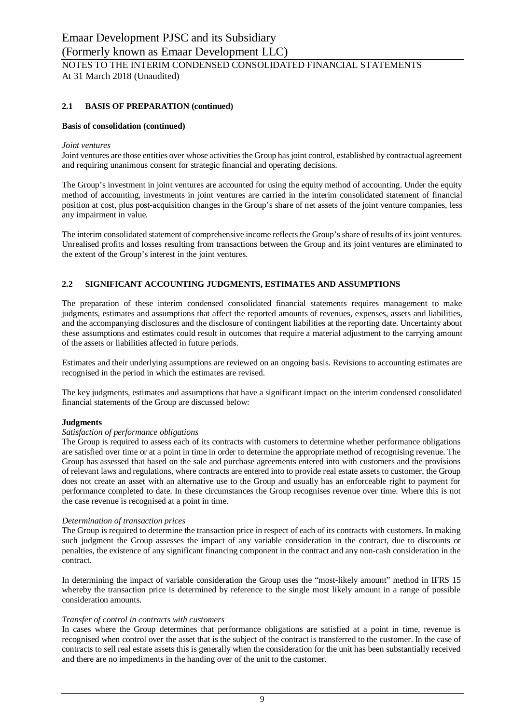## **2.1 BASIS OF PREPARATION (continued)**

#### **Basis of consolidation (continued)**

#### *Joint ventures*

Joint ventures are those entities over whose activities the Group has joint control, established by contractual agreement and requiring unanimous consent for strategic financial and operating decisions.

The Group's investment in joint ventures are accounted for using the equity method of accounting. Under the equity method of accounting, investments in joint ventures are carried in the interim consolidated statement of financial position at cost, plus post-acquisition changes in the Group's share of net assets of the joint venture companies, less any impairment in value.

The interim consolidated statement of comprehensive income reflects the Group's share of results of its joint ventures. Unrealised profits and losses resulting from transactions between the Group and its joint ventures are eliminated to the extent of the Group's interest in the joint ventures.

### **2.2 SIGNIFICANT ACCOUNTING JUDGMENTS, ESTIMATES AND ASSUMPTIONS**

The preparation of these interim condensed consolidated financial statements requires management to make judgments, estimates and assumptions that affect the reported amounts of revenues, expenses, assets and liabilities, and the accompanying disclosures and the disclosure of contingent liabilities at the reporting date. Uncertainty about these assumptions and estimates could result in outcomes that require a material adjustment to the carrying amount of the assets or liabilities affected in future periods.

Estimates and their underlying assumptions are reviewed on an ongoing basis. Revisions to accounting estimates are recognised in the period in which the estimates are revised.

The key judgments, estimates and assumptions that have a significant impact on the interim condensed consolidated financial statements of the Group are discussed below:

#### **Judgments**

#### *Satisfaction of performance obligations*

The Group is required to assess each of its contracts with customers to determine whether performance obligations are satisfied over time or at a point in time in order to determine the appropriate method of recognising revenue. The Group has assessed that based on the sale and purchase agreements entered into with customers and the provisions of relevant laws and regulations, where contracts are entered into to provide real estate assets to customer, the Group does not create an asset with an alternative use to the Group and usually has an enforceable right to payment for performance completed to date. In these circumstances the Group recognises revenue over time. Where this is not the case revenue is recognised at a point in time.

#### *Determination of transaction prices*

The Group is required to determine the transaction price in respect of each of its contracts with customers. In making such judgment the Group assesses the impact of any variable consideration in the contract, due to discounts or penalties, the existence of any significant financing component in the contract and any non-cash consideration in the contract.

In determining the impact of variable consideration the Group uses the "most-likely amount" method in IFRS 15 whereby the transaction price is determined by reference to the single most likely amount in a range of possible consideration amounts.

#### *Transfer of control in contracts with customers*

In cases where the Group determines that performance obligations are satisfied at a point in time, revenue is recognised when control over the asset that is the subject of the contract is transferred to the customer. In the case of contracts to sell real estate assets this is generally when the consideration for the unit has been substantially received and there are no impediments in the handing over of the unit to the customer.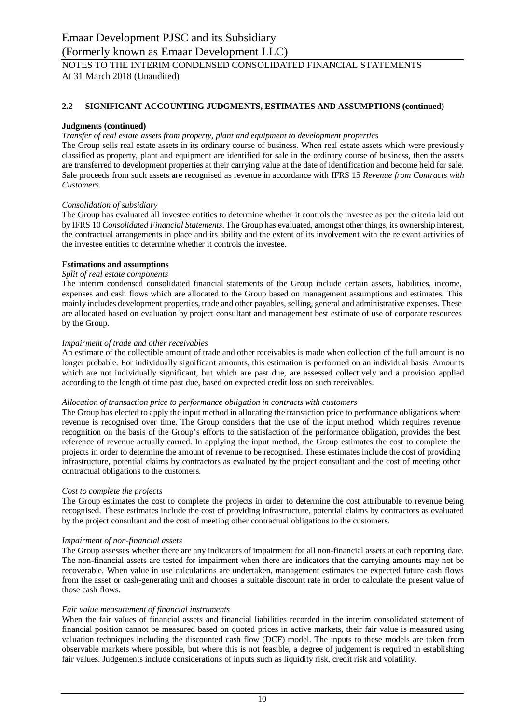## **2.2 SIGNIFICANT ACCOUNTING JUDGMENTS, ESTIMATES AND ASSUMPTIONS (continued)**

#### **Judgments (continued)**

#### *Transfer of real estate assets from property, plant and equipment to development properties*

The Group sells real estate assets in its ordinary course of business. When real estate assets which were previously classified as property, plant and equipment are identified for sale in the ordinary course of business, then the assets are transferred to development properties at their carrying value at the date of identification and become held for sale. Sale proceeds from such assets are recognised as revenue in accordance with IFRS 15 *Revenue from Contracts with Customers*.

#### *Consolidation of subsidiary*

The Group has evaluated all investee entities to determine whether it controls the investee as per the criteria laid out by IFRS 10 *Consolidated Financial Statements*. The Group has evaluated, amongst other things, its ownership interest, the contractual arrangements in place and its ability and the extent of its involvement with the relevant activities of the investee entities to determine whether it controls the investee.

#### **Estimations and assumptions**

#### *Split of real estate components*

The interim condensed consolidated financial statements of the Group include certain assets, liabilities, income, expenses and cash flows which are allocated to the Group based on management assumptions and estimates. This mainly includes development properties, trade and other payables, selling, general and administrative expenses. These are allocated based on evaluation by project consultant and management best estimate of use of corporate resources by the Group.

#### *Impairment of trade and other receivables*

An estimate of the collectible amount of trade and other receivables is made when collection of the full amount is no longer probable. For individually significant amounts, this estimation is performed on an individual basis. Amounts which are not individually significant, but which are past due, are assessed collectively and a provision applied according to the length of time past due, based on expected credit loss on such receivables.

#### *Allocation of transaction price to performance obligation in contracts with customers*

The Group has elected to apply the input method in allocating the transaction price to performance obligations where revenue is recognised over time. The Group considers that the use of the input method, which requires revenue recognition on the basis of the Group's efforts to the satisfaction of the performance obligation, provides the best reference of revenue actually earned. In applying the input method, the Group estimates the cost to complete the projects in order to determine the amount of revenue to be recognised. These estimates include the cost of providing infrastructure, potential claims by contractors as evaluated by the project consultant and the cost of meeting other contractual obligations to the customers.

#### *Cost to complete the projects*

The Group estimates the cost to complete the projects in order to determine the cost attributable to revenue being recognised. These estimates include the cost of providing infrastructure, potential claims by contractors as evaluated by the project consultant and the cost of meeting other contractual obligations to the customers.

#### *Impairment of non-financial assets*

The Group assesses whether there are any indicators of impairment for all non-financial assets at each reporting date. The non-financial assets are tested for impairment when there are indicators that the carrying amounts may not be recoverable. When value in use calculations are undertaken, management estimates the expected future cash flows from the asset or cash-generating unit and chooses a suitable discount rate in order to calculate the present value of those cash flows.

#### *Fair value measurement of financial instruments*

When the fair values of financial assets and financial liabilities recorded in the interim consolidated statement of financial position cannot be measured based on quoted prices in active markets, their fair value is measured using valuation techniques including the discounted cash flow (DCF) model. The inputs to these models are taken from observable markets where possible, but where this is not feasible, a degree of judgement is required in establishing fair values. Judgements include considerations of inputs such as liquidity risk, credit risk and volatility.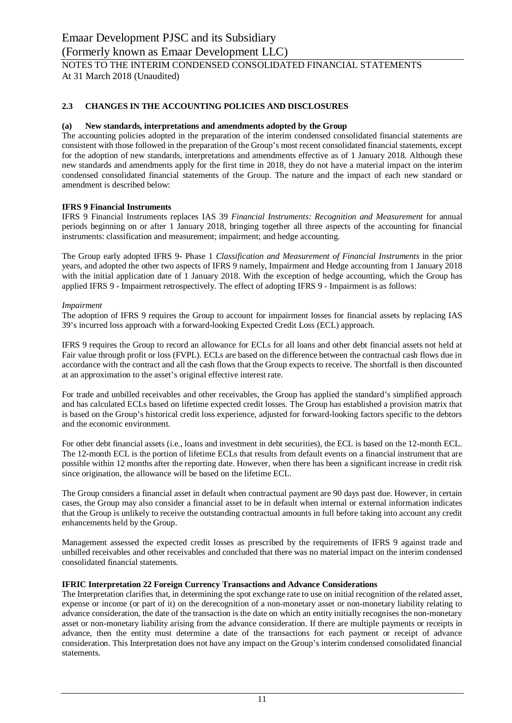## **2.3 CHANGES IN THE ACCOUNTING POLICIES AND DISCLOSURES**

### **(a) New standards, interpretations and amendments adopted by the Group**

The accounting policies adopted in the preparation of the interim condensed consolidated financial statements are consistent with those followed in the preparation of the Group's most recent consolidated financial statements, except for the adoption of new standards, interpretations and amendments effective as of 1 January 2018. Although these new standards and amendments apply for the first time in 2018, they do not have a material impact on the interim condensed consolidated financial statements of the Group. The nature and the impact of each new standard or amendment is described below:

### **IFRS 9 Financial Instruments**

IFRS 9 Financial Instruments replaces IAS 39 *Financial Instruments: Recognition and Measurement* for annual periods beginning on or after 1 January 2018, bringing together all three aspects of the accounting for financial instruments: classification and measurement; impairment; and hedge accounting.

The Group early adopted IFRS 9- Phase 1 *Classification and Measurement of Financial Instruments* in the prior years, and adopted the other two aspects of IFRS 9 namely, Impairment and Hedge accounting from 1 January 2018 with the initial application date of 1 January 2018. With the exception of hedge accounting, which the Group has applied IFRS 9 - Impairment retrospectively. The effect of adopting IFRS 9 - Impairment is as follows:

#### *Impairment*

The adoption of IFRS 9 requires the Group to account for impairment losses for financial assets by replacing IAS 39's incurred loss approach with a forward-looking Expected Credit Loss (ECL) approach.

IFRS 9 requires the Group to record an allowance for ECLs for all loans and other debt financial assets not held at Fair value through profit or loss (FVPL). ECLs are based on the difference between the contractual cash flows due in accordance with the contract and all the cash flows that the Group expects to receive. The shortfall is then discounted at an approximation to the asset's original effective interest rate.

For trade and unbilled receivables and other receivables, the Group has applied the standard's simplified approach and has calculated ECLs based on lifetime expected credit losses. The Group has established a provision matrix that is based on the Group's historical credit loss experience, adjusted for forward-looking factors specific to the debtors and the economic environment.

For other debt financial assets (i.e., loans and investment in debt securities), the ECL is based on the 12-month ECL. The 12-month ECL is the portion of lifetime ECLs that results from default events on a financial instrument that are possible within 12 months after the reporting date. However, when there has been a significant increase in credit risk since origination, the allowance will be based on the lifetime ECL.

The Group considers a financial asset in default when contractual payment are 90 days past due. However, in certain cases, the Group may also consider a financial asset to be in default when internal or external information indicates that the Group is unlikely to receive the outstanding contractual amounts in full before taking into account any credit enhancements held by the Group.

Management assessed the expected credit losses as prescribed by the requirements of IFRS 9 against trade and unbilled receivables and other receivables and concluded that there was no material impact on the interim condensed consolidated financial statements.

## **IFRIC Interpretation 22 Foreign Currency Transactions and Advance Considerations**

The Interpretation clarifies that, in determining the spot exchange rate to use on initial recognition of the related asset, expense or income (or part of it) on the derecognition of a non-monetary asset or non-monetary liability relating to advance consideration, the date of the transaction is the date on which an entity initially recognises the non-monetary asset or non-monetary liability arising from the advance consideration. If there are multiple payments or receipts in advance, then the entity must determine a date of the transactions for each payment or receipt of advance consideration. This Interpretation does not have any impact on the Group's interim condensed consolidated financial statements.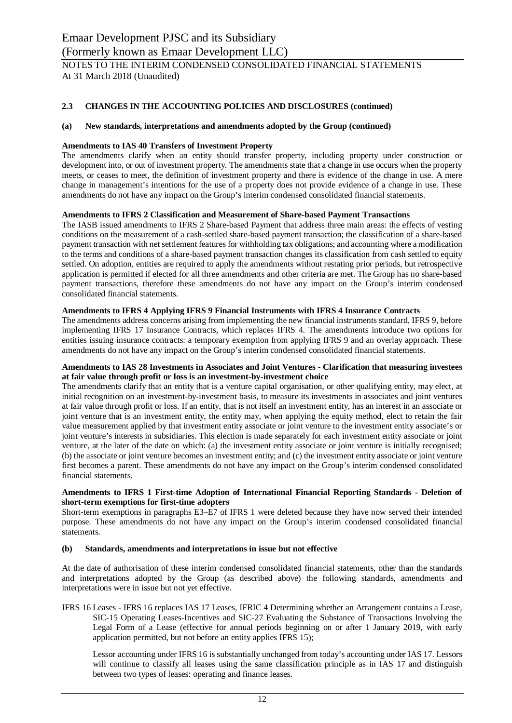## **2.3 CHANGES IN THE ACCOUNTING POLICIES AND DISCLOSURES (continued)**

#### **(a) New standards, interpretations and amendments adopted by the Group (continued)**

#### **Amendments to IAS 40 Transfers of Investment Property**

The amendments clarify when an entity should transfer property, including property under construction or development into, or out of investment property. The amendments state that a change in use occurs when the property meets, or ceases to meet, the definition of investment property and there is evidence of the change in use. A mere change in management's intentions for the use of a property does not provide evidence of a change in use. These amendments do not have any impact on the Group's interim condensed consolidated financial statements.

#### **Amendments to IFRS 2 Classification and Measurement of Share-based Payment Transactions**

The IASB issued amendments to IFRS 2 Share-based Payment that address three main areas: the effects of vesting conditions on the measurement of a cash-settled share-based payment transaction; the classification of a share-based payment transaction with net settlement features for withholding tax obligations; and accounting where a modification to the terms and conditions of a share-based payment transaction changes its classification from cash settled to equity settled. On adoption, entities are required to apply the amendments without restating prior periods, but retrospective application is permitted if elected for all three amendments and other criteria are met. The Group has no share-based payment transactions, therefore these amendments do not have any impact on the Group's interim condensed consolidated financial statements.

#### **Amendments to IFRS 4 Applying IFRS 9 Financial Instruments with IFRS 4 Insurance Contracts**

The amendments address concerns arising from implementing the new financial instruments standard, IFRS 9, before implementing IFRS 17 Insurance Contracts, which replaces IFRS 4. The amendments introduce two options for entities issuing insurance contracts: a temporary exemption from applying IFRS 9 and an overlay approach. These amendments do not have any impact on the Group's interim condensed consolidated financial statements.

#### **Amendments to IAS 28 Investments in Associates and Joint Ventures - Clarification that measuring investees at fair value through profit or loss is an investment-by-investment choice**

The amendments clarify that an entity that is a venture capital organisation, or other qualifying entity, may elect, at initial recognition on an investment-by-investment basis, to measure its investments in associates and joint ventures at fair value through profit or loss. If an entity, that is not itself an investment entity, has an interest in an associate or joint venture that is an investment entity, the entity may, when applying the equity method, elect to retain the fair value measurement applied by that investment entity associate or joint venture to the investment entity associate's or joint venture's interests in subsidiaries. This election is made separately for each investment entity associate or joint venture, at the later of the date on which: (a) the investment entity associate or joint venture is initially recognised; (b) the associate or joint venture becomes an investment entity; and (c) the investment entity associate or joint venture first becomes a parent. These amendments do not have any impact on the Group's interim condensed consolidated financial statements.

#### **Amendments to IFRS 1 First-time Adoption of International Financial Reporting Standards - Deletion of short-term exemptions for first-time adopters**

Short-term exemptions in paragraphs E3–E7 of IFRS 1 were deleted because they have now served their intended purpose. These amendments do not have any impact on the Group's interim condensed consolidated financial statements.

#### **(b) Standards, amendments and interpretations in issue but not effective**

At the date of authorisation of these interim condensed consolidated financial statements, other than the standards and interpretations adopted by the Group (as described above) the following standards, amendments and interpretations were in issue but not yet effective.

IFRS 16 Leases - IFRS 16 replaces IAS 17 Leases, IFRIC 4 Determining whether an Arrangement contains a Lease, SIC-15 Operating Leases-Incentives and SIC-27 Evaluating the Substance of Transactions Involving the Legal Form of a Lease (effective for annual periods beginning on or after 1 January 2019, with early application permitted, but not before an entity applies IFRS 15);

Lessor accounting under IFRS 16 is substantially unchanged from today's accounting under IAS 17. Lessors will continue to classify all leases using the same classification principle as in IAS 17 and distinguish between two types of leases: operating and finance leases.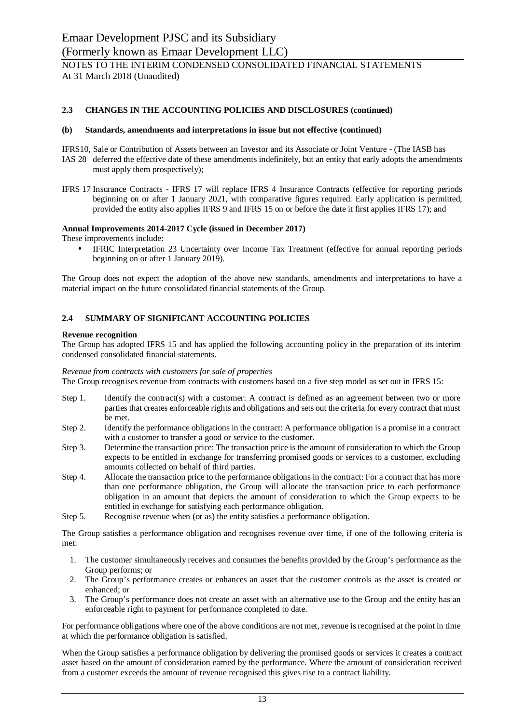### **2.3 CHANGES IN THE ACCOUNTING POLICIES AND DISCLOSURES (continued)**

#### **(b) Standards, amendments and interpretations in issue but not effective (continued)**

- IFRS10, Sale or Contribution of Assets between an Investor and its Associate or Joint Venture (The IASB has
- IAS 28 deferred the effective date of these amendments indefinitely, but an entity that early adopts the amendments must apply them prospectively);
- IFRS 17 Insurance Contracts IFRS 17 will replace IFRS 4 Insurance Contracts (effective for reporting periods beginning on or after 1 January 2021, with comparative figures required. Early application is permitted, provided the entity also applies IFRS 9 and IFRS 15 on or before the date it first applies IFRS 17); and

#### **Annual Improvements 2014-2017 Cycle (issued in December 2017)**

These improvements include:

IFRIC Interpretation 23 Uncertainty over Income Tax Treatment (effective for annual reporting periods beginning on or after 1 January 2019).

The Group does not expect the adoption of the above new standards, amendments and interpretations to have a material impact on the future consolidated financial statements of the Group.

### **2.4 SUMMARY OF SIGNIFICANT ACCOUNTING POLICIES**

#### **Revenue recognition**

The Group has adopted IFRS 15 and has applied the following accounting policy in the preparation of its interim condensed consolidated financial statements.

#### *Revenue from contracts with customers for sale of properties*

The Group recognises revenue from contracts with customers based on a five step model as set out in IFRS 15:

- Step 1. Identify the contract(s) with a customer: A contract is defined as an agreement between two or more parties that creates enforceable rights and obligations and sets out the criteria for every contract that must be met.
- Step 2. Identify the performance obligations in the contract: A performance obligation is a promise in a contract with a customer to transfer a good or service to the customer.
- Step 3. Determine the transaction price: The transaction price is the amount of consideration to which the Group expects to be entitled in exchange for transferring promised goods or services to a customer, excluding amounts collected on behalf of third parties.
- Step 4. Allocate the transaction price to the performance obligations in the contract: For a contract that has more than one performance obligation, the Group will allocate the transaction price to each performance obligation in an amount that depicts the amount of consideration to which the Group expects to be entitled in exchange for satisfying each performance obligation.
- Step 5. Recognise revenue when (or as) the entity satisfies a performance obligation.

The Group satisfies a performance obligation and recognises revenue over time, if one of the following criteria is met:

- 1. The customer simultaneously receives and consumes the benefits provided by the Group's performance as the Group performs; or
- 2. The Group's performance creates or enhances an asset that the customer controls as the asset is created or enhanced; or
- 3. The Group's performance does not create an asset with an alternative use to the Group and the entity has an enforceable right to payment for performance completed to date.

For performance obligations where one of the above conditions are not met, revenue is recognised at the point in time at which the performance obligation is satisfied.

When the Group satisfies a performance obligation by delivering the promised goods or services it creates a contract asset based on the amount of consideration earned by the performance. Where the amount of consideration received from a customer exceeds the amount of revenue recognised this gives rise to a contract liability.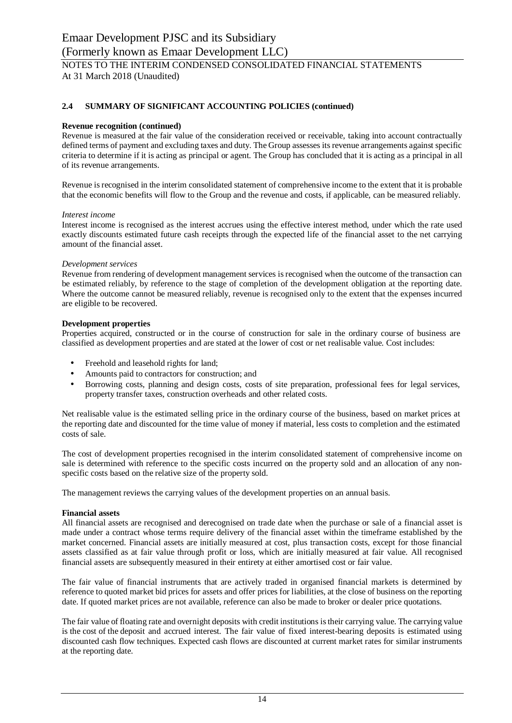At 31 March 2018 (Unaudited)

## **2.4 SUMMARY OF SIGNIFICANT ACCOUNTING POLICIES (continued)**

#### **Revenue recognition (continued)**

Revenue is measured at the fair value of the consideration received or receivable, taking into account contractually defined terms of payment and excluding taxes and duty. The Group assesses its revenue arrangements against specific criteria to determine if it is acting as principal or agent. The Group has concluded that it is acting as a principal in all of its revenue arrangements.

Revenue is recognised in the interim consolidated statement of comprehensive income to the extent that it is probable that the economic benefits will flow to the Group and the revenue and costs, if applicable, can be measured reliably.

#### *Interest income*

Interest income is recognised as the interest accrues using the effective interest method, under which the rate used exactly discounts estimated future cash receipts through the expected life of the financial asset to the net carrying amount of the financial asset.

#### *Development services*

Revenue from rendering of development management services is recognised when the outcome of the transaction can be estimated reliably, by reference to the stage of completion of the development obligation at the reporting date. Where the outcome cannot be measured reliably, revenue is recognised only to the extent that the expenses incurred are eligible to be recovered.

#### **Development properties**

Properties acquired, constructed or in the course of construction for sale in the ordinary course of business are classified as development properties and are stated at the lower of cost or net realisable value. Cost includes:

- Freehold and leasehold rights for land;
- Amounts paid to contractors for construction; and
- Borrowing costs, planning and design costs, costs of site preparation, professional fees for legal services, property transfer taxes, construction overheads and other related costs.

Net realisable value is the estimated selling price in the ordinary course of the business, based on market prices at the reporting date and discounted for the time value of money if material, less costs to completion and the estimated costs of sale.

The cost of development properties recognised in the interim consolidated statement of comprehensive income on sale is determined with reference to the specific costs incurred on the property sold and an allocation of any nonspecific costs based on the relative size of the property sold.

The management reviews the carrying values of the development properties on an annual basis.

#### **Financial assets**

All financial assets are recognised and derecognised on trade date when the purchase or sale of a financial asset is made under a contract whose terms require delivery of the financial asset within the timeframe established by the market concerned. Financial assets are initially measured at cost, plus transaction costs, except for those financial assets classified as at fair value through profit or loss, which are initially measured at fair value. All recognised financial assets are subsequently measured in their entirety at either amortised cost or fair value.

The fair value of financial instruments that are actively traded in organised financial markets is determined by reference to quoted market bid prices for assets and offer prices for liabilities, at the close of business on the reporting date. If quoted market prices are not available, reference can also be made to broker or dealer price quotations.

The fair value of floating rate and overnight deposits with credit institutions is their carrying value. The carrying value is the cost of the deposit and accrued interest. The fair value of fixed interest-bearing deposits is estimated using discounted cash flow techniques. Expected cash flows are discounted at current market rates for similar instruments at the reporting date.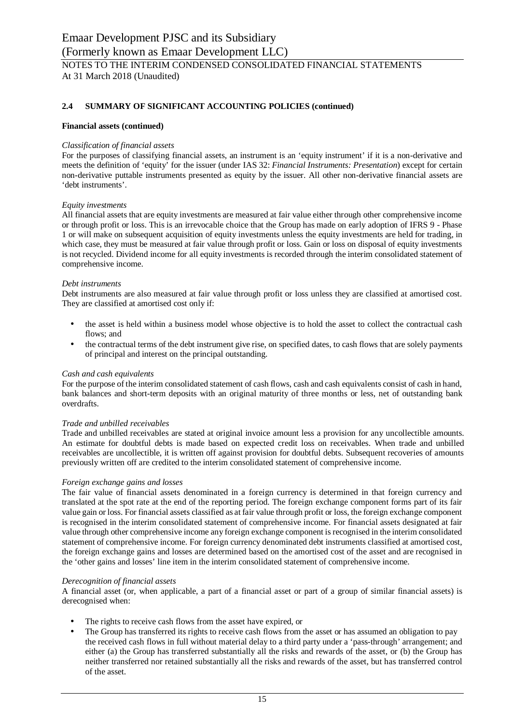# **2.4 SUMMARY OF SIGNIFICANT ACCOUNTING POLICIES (continued)**

## **Financial assets (continued)**

## *Classification of financial assets*

For the purposes of classifying financial assets, an instrument is an 'equity instrument' if it is a non-derivative and meets the definition of 'equity' for the issuer (under IAS 32: *Financial Instruments: Presentation*) except for certain non-derivative puttable instruments presented as equity by the issuer. All other non-derivative financial assets are 'debt instruments'.

## *Equity investments*

All financial assets that are equity investments are measured at fair value either through other comprehensive income or through profit or loss. This is an irrevocable choice that the Group has made on early adoption of IFRS 9 - Phase 1 or will make on subsequent acquisition of equity investments unless the equity investments are held for trading, in which case, they must be measured at fair value through profit or loss. Gain or loss on disposal of equity investments is not recycled. Dividend income for all equity investments is recorded through the interim consolidated statement of comprehensive income.

## *Debt instruments*

Debt instruments are also measured at fair value through profit or loss unless they are classified at amortised cost. They are classified at amortised cost only if:

- the asset is held within a business model whose objective is to hold the asset to collect the contractual cash flows; and
- the contractual terms of the debt instrument give rise, on specified dates, to cash flows that are solely payments ÷. of principal and interest on the principal outstanding.

## *Cash and cash equivalents*

For the purpose of the interim consolidated statement of cash flows, cash and cash equivalents consist of cash in hand, bank balances and short-term deposits with an original maturity of three months or less, net of outstanding bank overdrafts.

## *Trade and unbilled receivables*

Trade and unbilled receivables are stated at original invoice amount less a provision for any uncollectible amounts. An estimate for doubtful debts is made based on expected credit loss on receivables. When trade and unbilled receivables are uncollectible, it is written off against provision for doubtful debts. Subsequent recoveries of amounts previously written off are credited to the interim consolidated statement of comprehensive income.

## *Foreign exchange gains and losses*

The fair value of financial assets denominated in a foreign currency is determined in that foreign currency and translated at the spot rate at the end of the reporting period. The foreign exchange component forms part of its fair value gain or loss. For financial assets classified as at fair value through profit or loss, the foreign exchange component is recognised in the interim consolidated statement of comprehensive income. For financial assets designated at fair value through other comprehensive income any foreign exchange component is recognised in the interim consolidated statement of comprehensive income. For foreign currency denominated debt instruments classified at amortised cost, the foreign exchange gains and losses are determined based on the amortised cost of the asset and are recognised in the 'other gains and losses' line item in the interim consolidated statement of comprehensive income.

## *Derecognition of financial assets*

A financial asset (or, when applicable, a part of a financial asset or part of a group of similar financial assets) is derecognised when:

- The rights to receive cash flows from the asset have expired, or
- The Group has transferred its rights to receive cash flows from the asset or has assumed an obligation to pay the received cash flows in full without material delay to a third party under a 'pass-through' arrangement; and either (a) the Group has transferred substantially all the risks and rewards of the asset, or (b) the Group has neither transferred nor retained substantially all the risks and rewards of the asset, but has transferred control of the asset.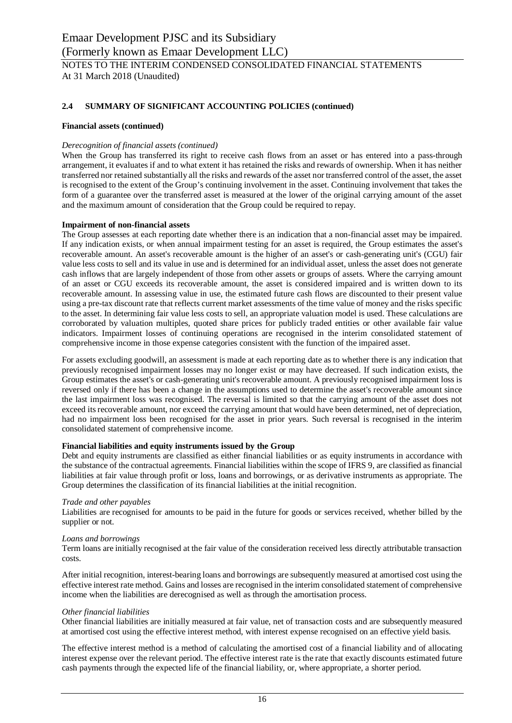## **2.4 SUMMARY OF SIGNIFICANT ACCOUNTING POLICIES (continued)**

#### **Financial assets (continued)**

### *Derecognition of financial assets (continued)*

When the Group has transferred its right to receive cash flows from an asset or has entered into a pass-through arrangement, it evaluates if and to what extent it has retained the risks and rewards of ownership. When it has neither transferred nor retained substantially all the risks and rewards of the asset nor transferred control of the asset, the asset is recognised to the extent of the Group's continuing involvement in the asset. Continuing involvement that takes the form of a guarantee over the transferred asset is measured at the lower of the original carrying amount of the asset and the maximum amount of consideration that the Group could be required to repay.

#### **Impairment of non-financial assets**

The Group assesses at each reporting date whether there is an indication that a non-financial asset may be impaired. If any indication exists, or when annual impairment testing for an asset is required, the Group estimates the asset's recoverable amount. An asset's recoverable amount is the higher of an asset's or cash-generating unit's (CGU) fair value less costs to sell and its value in use and is determined for an individual asset, unless the asset does not generate cash inflows that are largely independent of those from other assets or groups of assets. Where the carrying amount of an asset or CGU exceeds its recoverable amount, the asset is considered impaired and is written down to its recoverable amount. In assessing value in use, the estimated future cash flows are discounted to their present value using a pre-tax discount rate that reflects current market assessments of the time value of money and the risks specific to the asset. In determining fair value less costs to sell, an appropriate valuation model is used. These calculations are corroborated by valuation multiples, quoted share prices for publicly traded entities or other available fair value indicators. Impairment losses of continuing operations are recognised in the interim consolidated statement of comprehensive income in those expense categories consistent with the function of the impaired asset.

For assets excluding goodwill, an assessment is made at each reporting date as to whether there is any indication that previously recognised impairment losses may no longer exist or may have decreased. If such indication exists, the Group estimates the asset's or cash-generating unit's recoverable amount. A previously recognised impairment loss is reversed only if there has been a change in the assumptions used to determine the asset's recoverable amount since the last impairment loss was recognised. The reversal is limited so that the carrying amount of the asset does not exceed its recoverable amount, nor exceed the carrying amount that would have been determined, net of depreciation, had no impairment loss been recognised for the asset in prior years. Such reversal is recognised in the interim consolidated statement of comprehensive income.

#### **Financial liabilities and equity instruments issued by the Group**

Debt and equity instruments are classified as either financial liabilities or as equity instruments in accordance with the substance of the contractual agreements. Financial liabilities within the scope of IFRS 9, are classified as financial liabilities at fair value through profit or loss, loans and borrowings, or as derivative instruments as appropriate. The Group determines the classification of its financial liabilities at the initial recognition.

#### *Trade and other payables*

Liabilities are recognised for amounts to be paid in the future for goods or services received, whether billed by the supplier or not.

#### *Loans and borrowings*

Term loans are initially recognised at the fair value of the consideration received less directly attributable transaction costs.

After initial recognition, interest-bearing loans and borrowings are subsequently measured at amortised cost using the effective interest rate method. Gains and losses are recognised in the interim consolidated statement of comprehensive income when the liabilities are derecognised as well as through the amortisation process.

#### *Other financial liabilities*

Other financial liabilities are initially measured at fair value, net of transaction costs and are subsequently measured at amortised cost using the effective interest method, with interest expense recognised on an effective yield basis.

The effective interest method is a method of calculating the amortised cost of a financial liability and of allocating interest expense over the relevant period. The effective interest rate is the rate that exactly discounts estimated future cash payments through the expected life of the financial liability, or, where appropriate, a shorter period.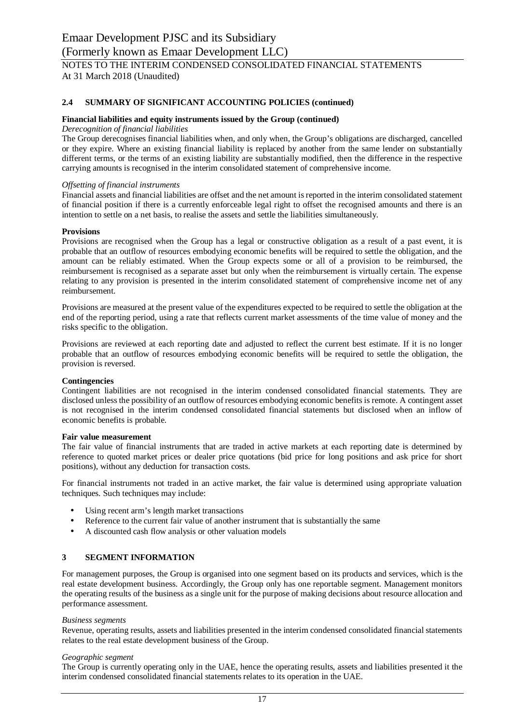## **2.4 SUMMARY OF SIGNIFICANT ACCOUNTING POLICIES (continued)**

#### **Financial liabilities and equity instruments issued by the Group (continued)**

#### *Derecognition of financial liabilities*

The Group derecognises financial liabilities when, and only when, the Group's obligations are discharged, cancelled or they expire. Where an existing financial liability is replaced by another from the same lender on substantially different terms, or the terms of an existing liability are substantially modified, then the difference in the respective carrying amounts is recognised in the interim consolidated statement of comprehensive income.

#### *Offsetting of financial instruments*

Financial assets and financial liabilities are offset and the net amount is reported in the interim consolidated statement of financial position if there is a currently enforceable legal right to offset the recognised amounts and there is an intention to settle on a net basis, to realise the assets and settle the liabilities simultaneously.

#### **Provisions**

Provisions are recognised when the Group has a legal or constructive obligation as a result of a past event, it is probable that an outflow of resources embodying economic benefits will be required to settle the obligation, and the amount can be reliably estimated. When the Group expects some or all of a provision to be reimbursed, the reimbursement is recognised as a separate asset but only when the reimbursement is virtually certain. The expense relating to any provision is presented in the interim consolidated statement of comprehensive income net of any reimbursement.

Provisions are measured at the present value of the expenditures expected to be required to settle the obligation at the end of the reporting period, using a rate that reflects current market assessments of the time value of money and the risks specific to the obligation.

Provisions are reviewed at each reporting date and adjusted to reflect the current best estimate. If it is no longer probable that an outflow of resources embodying economic benefits will be required to settle the obligation, the provision is reversed.

#### **Contingencies**

Contingent liabilities are not recognised in the interim condensed consolidated financial statements. They are disclosed unless the possibility of an outflow of resources embodying economic benefits is remote. A contingent asset is not recognised in the interim condensed consolidated financial statements but disclosed when an inflow of economic benefits is probable.

#### **Fair value measurement**

The fair value of financial instruments that are traded in active markets at each reporting date is determined by reference to quoted market prices or dealer price quotations (bid price for long positions and ask price for short positions), without any deduction for transaction costs.

For financial instruments not traded in an active market, the fair value is determined using appropriate valuation techniques. Such techniques may include:

- $\mathcal{L}^{\mathcal{L}}$ Using recent arm's length market transactions
- Reference to the current fair value of another instrument that is substantially the same
- A discounted cash flow analysis or other valuation models ÷.

#### **3 SEGMENT INFORMATION**

For management purposes, the Group is organised into one segment based on its products and services, which is the real estate development business. Accordingly, the Group only has one reportable segment. Management monitors the operating results of the business as a single unit for the purpose of making decisions about resource allocation and performance assessment.

#### *Business segments*

Revenue, operating results, assets and liabilities presented in the interim condensed consolidated financial statements relates to the real estate development business of the Group.

#### *Geographic segment*

The Group is currently operating only in the UAE, hence the operating results, assets and liabilities presented it the interim condensed consolidated financial statements relates to its operation in the UAE.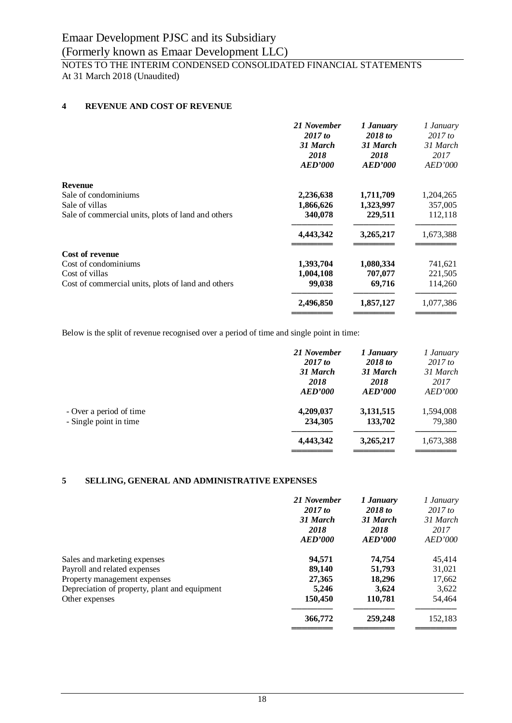At 31 March 2018 (Unaudited)

## **4 REVENUE AND COST OF REVENUE**

|                                                    | 21 November           | 1 January      | 1 January      |
|----------------------------------------------------|-----------------------|----------------|----------------|
|                                                    | 2017 to               | 2018 to        | 2017 to        |
|                                                    | 31 March              | 31 March       | 31 March       |
|                                                    | 2018                  | 2018           | 2017           |
|                                                    | <i><b>AED'000</b></i> | <b>AED'000</b> | <i>AED'000</i> |
| <b>Revenue</b>                                     |                       |                |                |
| Sale of condominiums                               | 2,236,638             | 1,711,709      | 1,204,265      |
| Sale of villas                                     | 1,866,626             | 1,323,997      | 357,005        |
| Sale of commercial units, plots of land and others | 340,078               | 229,511        | 112,118        |
|                                                    | 4,443,342             | 3,265,217      | 1,673,388      |
| <b>Cost of revenue</b>                             |                       |                |                |
| Cost of condominiums                               | 1,393,704             | 1,080,334      | 741,621        |
| Cost of villas                                     | 1,004,108             | 707,077        | 221,505        |
| Cost of commercial units, plots of land and others | 99,038                | 69,716         | 114,260        |
|                                                    | 2,496,850             | 1,857,127      | 1,077,386      |
|                                                    |                       |                |                |

Below is the split of revenue recognised over a period of time and single point in time:

|                         | 21 November | 1 January      | 1 January      |
|-------------------------|-------------|----------------|----------------|
|                         | 2017 to     | 2018 to        | 2017 to        |
|                         | 31 March    | 31 March       | 31 March       |
|                         | 2018        | 2018           | 2017           |
|                         | AED'000     | <b>AED'000</b> | <b>AED'000</b> |
| - Over a period of time | 4,209,037   | 3,131,515      | 1,594,008      |
| - Single point in time  | 234,305     | 133,702        | 79,380         |
|                         | 4,443,342   | 3,265,217      | 1,673,388      |

## **5 SELLING, GENERAL AND ADMINISTRATIVE EXPENSES**

|                                               | 21 November<br>2017 to<br>31 March<br>2018<br>AED'000 | 1 January<br>2018 to<br>31 March<br>2018<br>AED'000 | 1 January<br>2017 to<br>31 March<br>2017<br>AED'000 |
|-----------------------------------------------|-------------------------------------------------------|-----------------------------------------------------|-----------------------------------------------------|
| Sales and marketing expenses                  | 94,571                                                | 74,754                                              | 45.414                                              |
| Payroll and related expenses                  | 89,140                                                | 51,793                                              | 31,021                                              |
| Property management expenses                  | 27,365                                                | 18,296                                              | 17,662                                              |
| Depreciation of property, plant and equipment | 5,246                                                 | 3,624                                               | 3,622                                               |
| Other expenses                                | 150,450                                               | 110.781                                             | 54.464                                              |
|                                               | 366,772                                               | 259,248                                             | 152,183                                             |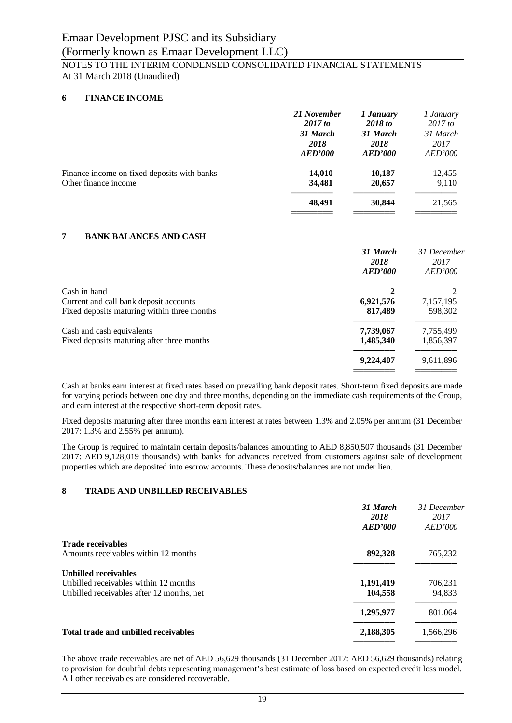## **6 FINANCE INCOME**

|                                             | 21 November | 1 January      | 1 January             |
|---------------------------------------------|-------------|----------------|-----------------------|
|                                             | 2017 to     | 2018 to        | 2017 to               |
|                                             | 31 March    | 31 March       | 31 March              |
|                                             | 2018        | 2018           | 2017                  |
|                                             | AED'000     | <b>AED'000</b> | <i><b>AED'000</b></i> |
| Finance income on fixed deposits with banks | 14,010      | 10,187         | 12,455                |
| Other finance income                        | 34,481      | 20,657         | 9,110                 |
|                                             | 48,491      | 30,844         | 21,565                |

## **7 BANK BALANCES AND CASH**

|                                             | 31 March<br>2018<br><b>AED'000</b> | 31 December<br>2017<br><b>AED'000</b> |
|---------------------------------------------|------------------------------------|---------------------------------------|
| Cash in hand                                |                                    |                                       |
| Current and call bank deposit accounts      | 6,921,576                          | 7,157,195                             |
| Fixed deposits maturing within three months | 817,489                            | 598,302                               |
| Cash and cash equivalents                   | 7,739,067                          | 7,755,499                             |
| Fixed deposits maturing after three months  | 1,485,340                          | 1,856,397                             |
|                                             | 9,224,407                          | 9,611,896                             |
|                                             |                                    |                                       |

Cash at banks earn interest at fixed rates based on prevailing bank deposit rates. Short-term fixed deposits are made for varying periods between one day and three months, depending on the immediate cash requirements of the Group, and earn interest at the respective short-term deposit rates.

Fixed deposits maturing after three months earn interest at rates between 1.3% and 2.05% per annum (31 December 2017: 1.3% and 2.55% per annum).

The Group is required to maintain certain deposits/balances amounting to AED 8,850,507 thousands (31 December 2017: AED 9,128,019 thousands) with banks for advances received from customers against sale of development properties which are deposited into escrow accounts. These deposits/balances are not under lien.

## **8 TRADE AND UNBILLED RECEIVABLES**

|                                           | 31 March<br>2018<br>AED'000 | 31 December<br>2017<br>AED'000 |
|-------------------------------------------|-----------------------------|--------------------------------|
| <b>Trade receivables</b>                  |                             |                                |
| Amounts receivables within 12 months      | 892,328                     | 765,232                        |
| <b>Unbilled receivables</b>               |                             |                                |
| Unbilled receivables within 12 months     | 1,191,419                   | 706,231                        |
| Unbilled receivables after 12 months, net | 104,558                     | 94.833                         |
|                                           | 1,295,977                   | 801,064                        |
| Total trade and unbilled receivables      | 2,188,305                   | 1,566,296                      |
|                                           |                             |                                |

The above trade receivables are net of AED 56,629 thousands (31 December 2017: AED 56,629 thousands) relating to provision for doubtful debts representing management's best estimate of loss based on expected credit loss model. All other receivables are considered recoverable.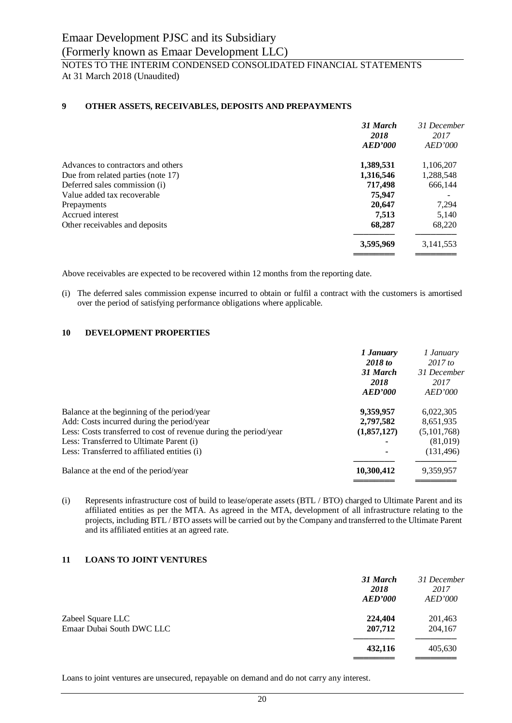## **9 OTHER ASSETS, RECEIVABLES, DEPOSITS AND PREPAYMENTS**

|                                    | 31 March<br>2018 | 31 December<br>2017 |
|------------------------------------|------------------|---------------------|
|                                    | AED'000          | AED'000             |
| Advances to contractors and others | 1,389,531        | 1,106,207           |
| Due from related parties (note 17) | 1,316,546        | 1,288,548           |
| Deferred sales commission (i)      | 717,498          | 666.144             |
| Value added tax recoverable        | 75,947           |                     |
| Prepayments                        | 20,647           | 7,294               |
| Accrued interest                   | 7.513            | 5,140               |
| Other receivables and deposits     | 68,287           | 68.220              |
|                                    | 3,595,969        | 3,141,553           |
|                                    |                  |                     |

Above receivables are expected to be recovered within 12 months from the reporting date.

(i) The deferred sales commission expense incurred to obtain or fulfil a contract with the customers is amortised over the period of satisfying performance obligations where applicable.

## **10 DEVELOPMENT PROPERTIES**

|                                                                   | 1 January<br>2018 to<br>31 March<br>2018<br>AED'000 | 1 January<br>2017 to<br>31 December<br>2017<br><b>AED'000</b> |
|-------------------------------------------------------------------|-----------------------------------------------------|---------------------------------------------------------------|
| Balance at the beginning of the period/year                       | 9,359,957                                           | 6,022,305                                                     |
| Add: Costs incurred during the period/year                        | 2,797,582                                           | 8,651,935                                                     |
| Less: Costs transferred to cost of revenue during the period/year | (1,857,127)                                         | (5,101,768)                                                   |
| Less: Transferred to Ultimate Parent (i)                          |                                                     | (81,019)                                                      |
| Less: Transferred to affiliated entities (i)                      | ٠                                                   | (131, 496)                                                    |
| Balance at the end of the period/year                             | 10,300,412                                          | 9,359,957                                                     |

(i) Represents infrastructure cost of build to lease/operate assets (BTL / BTO) charged to Ultimate Parent and its affiliated entities as per the MTA. As agreed in the MTA, development of all infrastructure relating to the projects, including BTL / BTO assets will be carried out by the Company and transferred to the Ultimate Parent and its affiliated entities at an agreed rate.

## **11 LOANS TO JOINT VENTURES**

|                                                | 31 March<br>2018<br><b>AED'000</b> | 31 December<br>2017<br><i>AED'000</i> |
|------------------------------------------------|------------------------------------|---------------------------------------|
| Zabeel Square LLC<br>Emaar Dubai South DWC LLC | 224,404<br>207,712                 | 201,463<br>204,167                    |
|                                                | 432,116                            | 405,630                               |

Loans to joint ventures are unsecured, repayable on demand and do not carry any interest.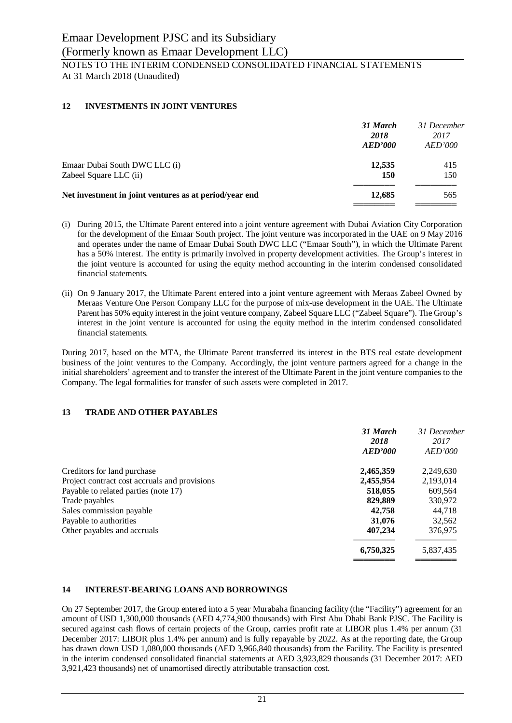## **12 INVESTMENTS IN JOINT VENTURES**

|                                                        | 31 March<br>2018<br><b>AED'000</b> | 31 December<br>2017<br><i>AED'000</i> |
|--------------------------------------------------------|------------------------------------|---------------------------------------|
| Emaar Dubai South DWC LLC (i)                          | 12,535                             | 415                                   |
| Zabeel Square LLC (ii)                                 | <b>150</b>                         | 150                                   |
| Net investment in joint ventures as at period/year end | 12,685                             | 565                                   |
|                                                        |                                    |                                       |

- (i) During 2015, the Ultimate Parent entered into a joint venture agreement with Dubai Aviation City Corporation for the development of the Emaar South project. The joint venture was incorporated in the UAE on 9 May 2016 and operates under the name of Emaar Dubai South DWC LLC ("Emaar South"), in which the Ultimate Parent has a 50% interest. The entity is primarily involved in property development activities. The Group's interest in the joint venture is accounted for using the equity method accounting in the interim condensed consolidated financial statements.
- (ii) On 9 January 2017, the Ultimate Parent entered into a joint venture agreement with Meraas Zabeel Owned by Meraas Venture One Person Company LLC for the purpose of mix-use development in the UAE. The Ultimate Parent has 50% equity interest in the joint venture company, Zabeel Square LLC ("Zabeel Square"). The Group's interest in the joint venture is accounted for using the equity method in the interim condensed consolidated financial statements.

During 2017, based on the MTA, the Ultimate Parent transferred its interest in the BTS real estate development business of the joint ventures to the Company. Accordingly, the joint venture partners agreed for a change in the initial shareholders' agreement and to transfer the interest of the Ultimate Parent in the joint venture companies to the Company. The legal formalities for transfer of such assets were completed in 2017.

## **13 TRADE AND OTHER PAYABLES**

|                                               | 31 March<br>2018<br><b>AED'000</b> | 31 December<br>2017<br>AED'000 |
|-----------------------------------------------|------------------------------------|--------------------------------|
| Creditors for land purchase                   | 2,465,359                          | 2,249,630                      |
| Project contract cost accruals and provisions | 2,455,954                          | 2,193,014                      |
| Payable to related parties (note 17)          | 518,055                            | 609,564                        |
| Trade payables                                | 829,889                            | 330.972                        |
| Sales commission payable                      | 42,758                             | 44.718                         |
| Payable to authorities                        | 31,076                             | 32,562                         |
| Other payables and accruals                   | 407.234                            | 376,975                        |
|                                               | 6,750,325                          | 5,837,435                      |
|                                               |                                    |                                |

#### **14 INTEREST-BEARING LOANS AND BORROWINGS**

On 27 September 2017, the Group entered into a 5 year Murabaha financing facility (the "Facility") agreement for an amount of USD 1,300,000 thousands (AED 4,774,900 thousands) with First Abu Dhabi Bank PJSC. The Facility is secured against cash flows of certain projects of the Group, carries profit rate at LIBOR plus 1.4% per annum (31 December 2017: LIBOR plus 1.4% per annum) and is fully repayable by 2022. As at the reporting date, the Group has drawn down USD 1,080,000 thousands (AED 3,966,840 thousands) from the Facility. The Facility is presented in the interim condensed consolidated financial statements at AED 3,923,829 thousands (31 December 2017: AED 3,921,423 thousands) net of unamortised directly attributable transaction cost.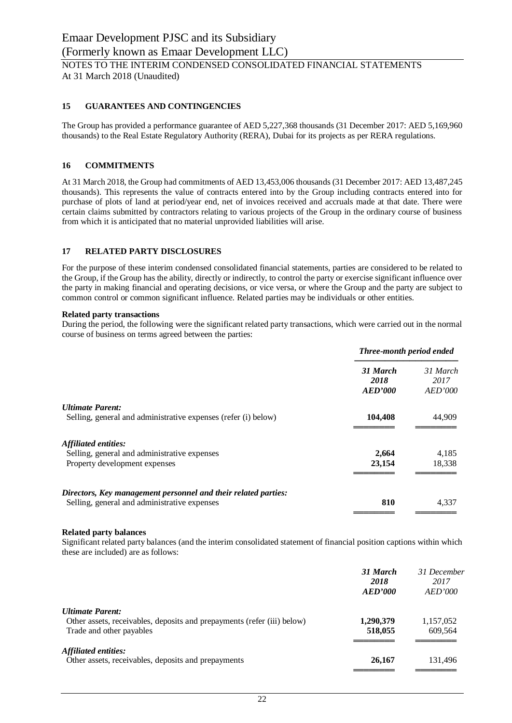## **15 GUARANTEES AND CONTINGENCIES**

The Group has provided a performance guarantee of AED 5,227,368 thousands (31 December 2017: AED 5,169,960 thousands) to the Real Estate Regulatory Authority (RERA), Dubai for its projects as per RERA regulations.

## **16 COMMITMENTS**

At 31 March 2018, the Group had commitments of AED 13,453,006 thousands (31 December 2017: AED 13,487,245 thousands). This represents the value of contracts entered into by the Group including contracts entered into for purchase of plots of land at period/year end, net of invoices received and accruals made at that date. There were certain claims submitted by contractors relating to various projects of the Group in the ordinary course of business from which it is anticipated that no material unprovided liabilities will arise.

## **17 RELATED PARTY DISCLOSURES**

For the purpose of these interim condensed consolidated financial statements, parties are considered to be related to the Group, if the Group has the ability, directly or indirectly, to control the party or exercise significant influence over the party in making financial and operating decisions, or vice versa, or where the Group and the party are subject to common control or common significant influence. Related parties may be individuals or other entities.

#### **Related party transactions**

During the period, the following were the significant related party transactions, which were carried out in the normal course of business on terms agreed between the parties:

|                                                                | Three-month period ended    |                             |
|----------------------------------------------------------------|-----------------------------|-----------------------------|
|                                                                | 31 March<br>2018<br>AED'000 | 31 March<br>2017<br>AED'000 |
| <b>Ultimate Parent:</b>                                        |                             |                             |
| Selling, general and administrative expenses (refer (i) below) | 104,408                     | 44,909                      |
| Affiliated entities:                                           |                             |                             |
| Selling, general and administrative expenses                   | 2,664                       | 4,185                       |
| Property development expenses                                  | 23,154                      | 18,338                      |
| Directors, Key management personnel and their related parties: |                             |                             |
| Selling, general and administrative expenses                   | 810                         | 4,337                       |
|                                                                |                             |                             |

#### **Related party balances**

Significant related party balances (and the interim consolidated statement of financial position captions within which these are included) are as follows:

|                                                                         | 31 March<br>2018<br><b>AED'000</b> | 31 December<br>2017<br>AED'000 |
|-------------------------------------------------------------------------|------------------------------------|--------------------------------|
| <b><i>Ultimate Parent:</i></b>                                          |                                    |                                |
| Other assets, receivables, deposits and prepayments (refer (iii) below) | 1,290,379                          | 1,157,052                      |
| Trade and other payables                                                | 518,055                            | 609,564                        |
| <b>Affiliated entities:</b>                                             |                                    |                                |
| Other assets, receivables, deposits and prepayments                     | 26,167                             | 131,496                        |
|                                                                         |                                    |                                |